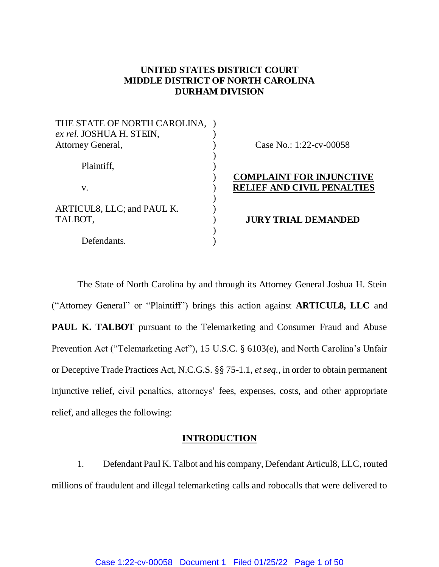# **UNITED STATES DISTRICT COURT MIDDLE DISTRICT OF NORTH CAROLINA DURHAM DIVISION**

| THE STATE OF NORTH CAROLINA,<br>ex rel. JOSHUA H. STEIN, |                                   |
|----------------------------------------------------------|-----------------------------------|
| Attorney General,                                        | Case No.: $1:22$ -cv-00058        |
| Plaintiff,                                               |                                   |
|                                                          | <b>COMPLAINT FOR INJUNCTIVE</b>   |
| V.                                                       | <b>RELIEF AND CIVIL PENALTIES</b> |
| ARTICUL8, LLC; and PAUL K.                               |                                   |
| TALBOT,                                                  | <b>JURY TRIAL DEMANDED</b>        |
|                                                          |                                   |
| Defendants.                                              |                                   |

The State of North Carolina by and through its Attorney General Joshua H. Stein ("Attorney General" or "Plaintiff") brings this action against **ARTICUL8, LLC** and **PAUL K. TALBOT** pursuant to the Telemarketing and Consumer Fraud and Abuse Prevention Act ("Telemarketing Act"), 15 U.S.C. § 6103(e), and North Carolina's Unfair or Deceptive Trade Practices Act, N.C.G.S. §§ 75-1.1, *et seq.*, in order to obtain permanent injunctive relief, civil penalties, attorneys' fees, expenses, costs, and other appropriate relief, and alleges the following:

# **INTRODUCTION**

1. Defendant Paul K. Talbot and his company, Defendant Articul8, LLC, routed millions of fraudulent and illegal telemarketing calls and robocalls that were delivered to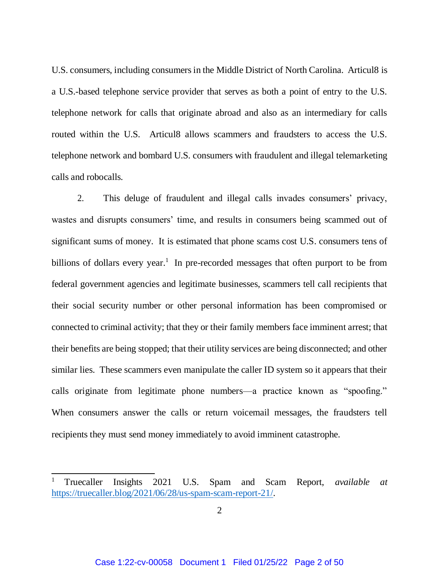U.S. consumers, including consumers in the Middle District of North Carolina. Articul8 is a U.S.-based telephone service provider that serves as both a point of entry to the U.S. telephone network for calls that originate abroad and also as an intermediary for calls routed within the U.S. Articul8 allows scammers and fraudsters to access the U.S. telephone network and bombard U.S. consumers with fraudulent and illegal telemarketing calls and robocalls.

2. This deluge of fraudulent and illegal calls invades consumers' privacy, wastes and disrupts consumers' time, and results in consumers being scammed out of significant sums of money. It is estimated that phone scams cost U.S. consumers tens of billions of dollars every year.<sup>1</sup> In pre-recorded messages that often purport to be from federal government agencies and legitimate businesses, scammers tell call recipients that their social security number or other personal information has been compromised or connected to criminal activity; that they or their family members face imminent arrest; that their benefits are being stopped; that their utility services are being disconnected; and other similar lies. These scammers even manipulate the caller ID system so it appears that their calls originate from legitimate phone numbers—a practice known as "spoofing." When consumers answer the calls or return voicemail messages, the fraudsters tell recipients they must send money immediately to avoid imminent catastrophe.

 $\overline{a}$ 

<sup>1</sup> Truecaller Insights 2021 U.S. Spam and Scam Report, *available at* [https://truecaller.blog/2021/06/28/us-spam-scam-report-21/.](https://truecaller.blog/2021/06/28/us-spam-scam-report-21/)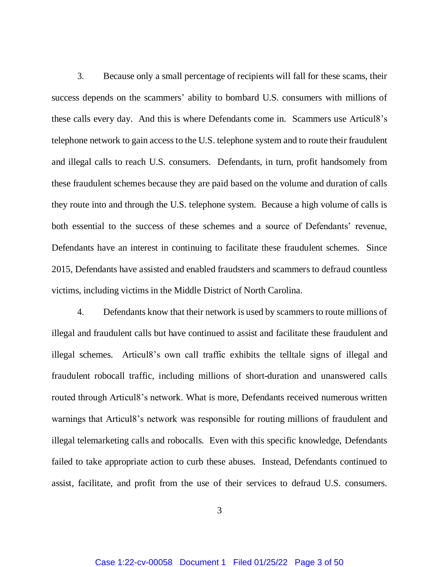3. Because only a small percentage of recipients will fall for these scams, their success depends on the scammers' ability to bombard U.S. consumers with millions of these calls every day. And this is where Defendants come in. Scammers use Articul8's telephone network to gain access to the U.S. telephone system and to route their fraudulent and illegal calls to reach U.S. consumers. Defendants, in turn, profit handsomely from these fraudulent schemes because they are paid based on the volume and duration of calls they route into and through the U.S. telephone system. Because a high volume of calls is both essential to the success of these schemes and a source of Defendants' revenue, Defendants have an interest in continuing to facilitate these fraudulent schemes. Since 2015, Defendants have assisted and enabled fraudsters and scammers to defraud countless victims, including victims in the Middle District of North Carolina.

4. Defendants know that their network is used by scammers to route millions of illegal and fraudulent calls but have continued to assist and facilitate these fraudulent and illegal schemes. Articul8's own call traffic exhibits the telltale signs of illegal and fraudulent robocall traffic, including millions of short-duration and unanswered calls routed through Articul8's network. What is more, Defendants received numerous written warnings that Articul8's network was responsible for routing millions of fraudulent and illegal telemarketing calls and robocalls. Even with this specific knowledge, Defendants failed to take appropriate action to curb these abuses. Instead, Defendants continued to assist, facilitate, and profit from the use of their services to defraud U.S. consumers.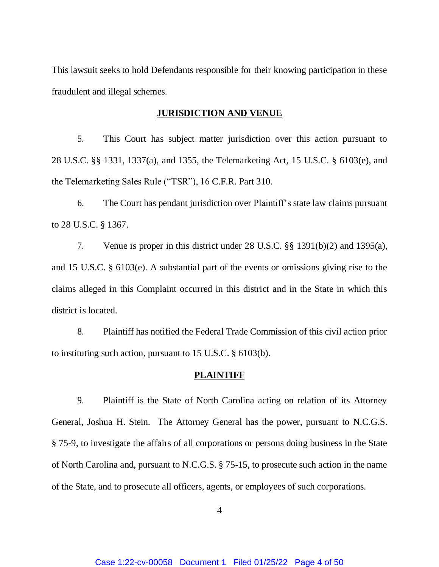This lawsuit seeks to hold Defendants responsible for their knowing participation in these fraudulent and illegal schemes.

#### **JURISDICTION AND VENUE**

5. This Court has subject matter jurisdiction over this action pursuant to 28 U.S.C. §§ 1331, 1337(a), and 1355, the Telemarketing Act, 15 U.S.C. § 6103(e), and the Telemarketing Sales Rule ("TSR"), 16 C.F.R. Part 310.

6. The Court has pendant jurisdiction over Plaintiff's state law claims pursuant to 28 U.S.C. § 1367.

7. Venue is proper in this district under 28 U.S.C. §§ 1391(b)(2) and 1395(a), and 15 U.S.C. § 6103(e). A substantial part of the events or omissions giving rise to the claims alleged in this Complaint occurred in this district and in the State in which this district is located.

8. Plaintiff has notified the Federal Trade Commission of this civil action prior to instituting such action, pursuant to 15 U.S.C. § 6103(b).

#### **PLAINTIFF**

9. Plaintiff is the State of North Carolina acting on relation of its Attorney General, Joshua H. Stein. The Attorney General has the power, pursuant to N.C.G.S. § 75-9, to investigate the affairs of all corporations or persons doing business in the State of North Carolina and, pursuant to N.C.G.S. § 75-15, to prosecute such action in the name of the State, and to prosecute all officers, agents, or employees of such corporations.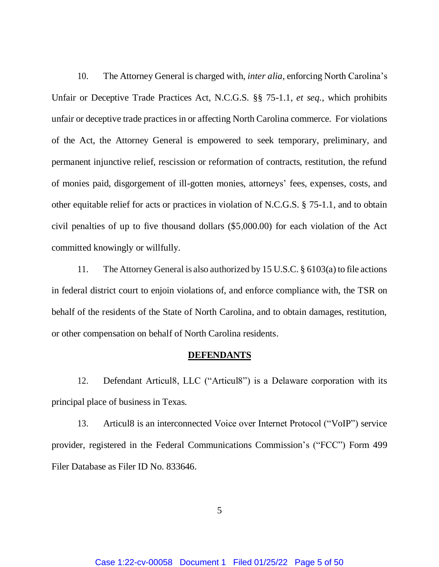10. The Attorney General is charged with, *inter alia*, enforcing North Carolina's Unfair or Deceptive Trade Practices Act, N.C.G.S. §§ 75-1.1, *et seq.*, which prohibits unfair or deceptive trade practices in or affecting North Carolina commerce. For violations of the Act, the Attorney General is empowered to seek temporary, preliminary, and permanent injunctive relief, rescission or reformation of contracts, restitution, the refund of monies paid, disgorgement of ill-gotten monies, attorneys' fees, expenses, costs, and other equitable relief for acts or practices in violation of N.C.G.S. § 75-1.1, and to obtain civil penalties of up to five thousand dollars (\$5,000.00) for each violation of the Act committed knowingly or willfully.

11. The Attorney General is also authorized by 15 U.S.C. § 6103(a) to file actions in federal district court to enjoin violations of, and enforce compliance with, the TSR on behalf of the residents of the State of North Carolina, and to obtain damages, restitution, or other compensation on behalf of North Carolina residents.

#### **DEFENDANTS**

12. Defendant Articul8, LLC ("Articul8") is a Delaware corporation with its principal place of business in Texas.

13. Articul8 is an interconnected Voice over Internet Protocol ("VoIP") service provider, registered in the Federal Communications Commission's ("FCC") Form 499 Filer Database as Filer ID No. 833646.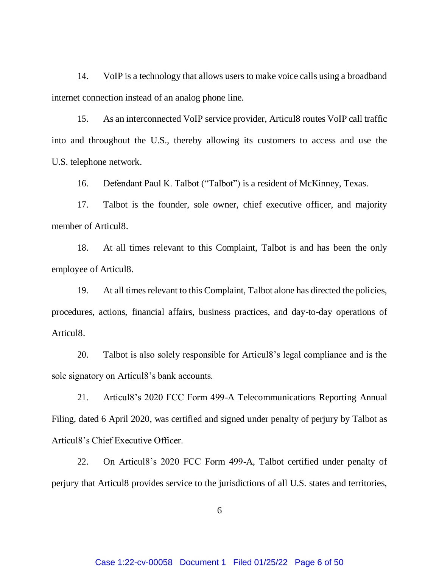14. VoIP is a technology that allows users to make voice calls using a broadband internet connection instead of an analog phone line.

15. As an interconnected VoIP service provider, Articul8 routes VoIP call traffic into and throughout the U.S., thereby allowing its customers to access and use the U.S. telephone network.

16. Defendant Paul K. Talbot ("Talbot") is a resident of McKinney, Texas.

17. Talbot is the founder, sole owner, chief executive officer, and majority member of Articul8.

18. At all times relevant to this Complaint, Talbot is and has been the only employee of Articul8.

19. At all times relevant to this Complaint, Talbot alone has directed the policies, procedures, actions, financial affairs, business practices, and day-to-day operations of Articul8.

20. Talbot is also solely responsible for Articul8's legal compliance and is the sole signatory on Articul8's bank accounts.

21. Articul8's 2020 FCC Form 499-A Telecommunications Reporting Annual Filing, dated 6 April 2020, was certified and signed under penalty of perjury by Talbot as Articul8's Chief Executive Officer.

22. On Articul8's 2020 FCC Form 499-A, Talbot certified under penalty of perjury that Articul8 provides service to the jurisdictions of all U.S. states and territories,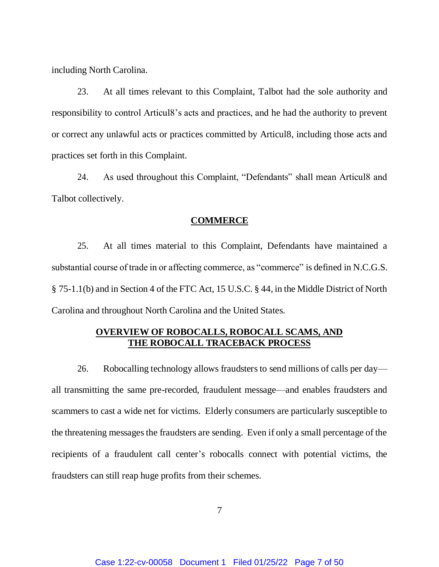including North Carolina.

23. At all times relevant to this Complaint, Talbot had the sole authority and responsibility to control Articul8's acts and practices, and he had the authority to prevent or correct any unlawful acts or practices committed by Articul8, including those acts and practices set forth in this Complaint.

24. As used throughout this Complaint, "Defendants" shall mean Articul8 and Talbot collectively.

#### **COMMERCE**

25. At all times material to this Complaint, Defendants have maintained a substantial course of trade in or affecting commerce, as "commerce" is defined in N.C.G.S. § 75-1.1(b) and in Section 4 of the FTC Act, 15 U.S.C. § 44, in the Middle District of North Carolina and throughout North Carolina and the United States.

# **OVERVIEW OF ROBOCALLS, ROBOCALL SCAMS, AND THE ROBOCALL TRACEBACK PROCESS**

26. Robocalling technology allows fraudsters to send millions of calls per day all transmitting the same pre-recorded, fraudulent message—and enables fraudsters and scammers to cast a wide net for victims. Elderly consumers are particularly susceptible to the threatening messages the fraudsters are sending. Even if only a small percentage of the recipients of a fraudulent call center's robocalls connect with potential victims, the fraudsters can still reap huge profits from their schemes.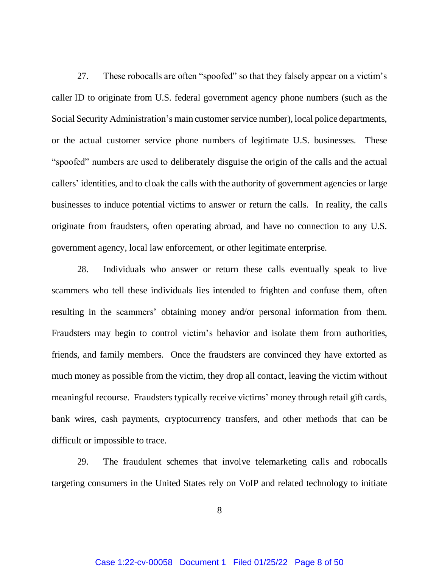27. These robocalls are often "spoofed" so that they falsely appear on a victim's caller ID to originate from U.S. federal government agency phone numbers (such as the Social Security Administration's main customer service number), local police departments, or the actual customer service phone numbers of legitimate U.S. businesses. These "spoofed" numbers are used to deliberately disguise the origin of the calls and the actual callers' identities, and to cloak the calls with the authority of government agencies or large businesses to induce potential victims to answer or return the calls. In reality, the calls originate from fraudsters, often operating abroad, and have no connection to any U.S. government agency, local law enforcement, or other legitimate enterprise.

28. Individuals who answer or return these calls eventually speak to live scammers who tell these individuals lies intended to frighten and confuse them, often resulting in the scammers' obtaining money and/or personal information from them. Fraudsters may begin to control victim's behavior and isolate them from authorities, friends, and family members. Once the fraudsters are convinced they have extorted as much money as possible from the victim, they drop all contact, leaving the victim without meaningful recourse. Fraudsters typically receive victims' money through retail gift cards, bank wires, cash payments, cryptocurrency transfers, and other methods that can be difficult or impossible to trace.

29. The fraudulent schemes that involve telemarketing calls and robocalls targeting consumers in the United States rely on VoIP and related technology to initiate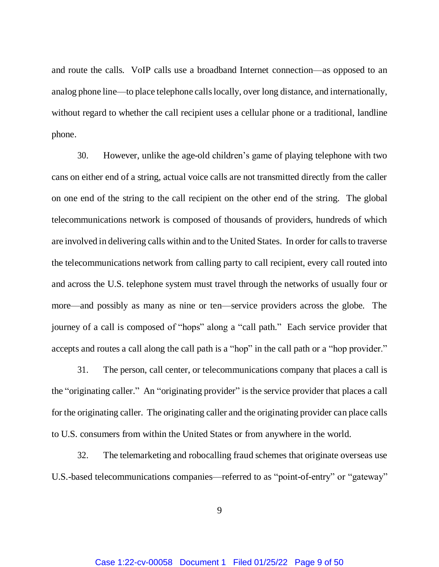and route the calls. VoIP calls use a broadband Internet connection—as opposed to an analog phone line—to place telephone calls locally, over long distance, and internationally, without regard to whether the call recipient uses a cellular phone or a traditional, landline phone.

30. However, unlike the age-old children's game of playing telephone with two cans on either end of a string, actual voice calls are not transmitted directly from the caller on one end of the string to the call recipient on the other end of the string. The global telecommunications network is composed of thousands of providers, hundreds of which are involved in delivering calls within and to the United States. In order for calls to traverse the telecommunications network from calling party to call recipient, every call routed into and across the U.S. telephone system must travel through the networks of usually four or more—and possibly as many as nine or ten—service providers across the globe. The journey of a call is composed of "hops" along a "call path." Each service provider that accepts and routes a call along the call path is a "hop" in the call path or a "hop provider."

31. The person, call center, or telecommunications company that places a call is the "originating caller." An "originating provider" is the service provider that places a call for the originating caller. The originating caller and the originating provider can place calls to U.S. consumers from within the United States or from anywhere in the world.

32. The telemarketing and robocalling fraud schemes that originate overseas use U.S.-based telecommunications companies—referred to as "point-of-entry" or "gateway"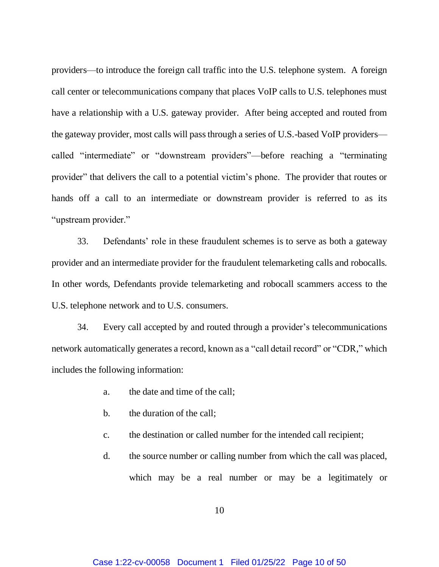providers—to introduce the foreign call traffic into the U.S. telephone system. A foreign call center or telecommunications company that places VoIP calls to U.S. telephones must have a relationship with a U.S. gateway provider. After being accepted and routed from the gateway provider, most calls will pass through a series of U.S.-based VoIP providers called "intermediate" or "downstream providers"—before reaching a "terminating provider" that delivers the call to a potential victim's phone. The provider that routes or hands off a call to an intermediate or downstream provider is referred to as its "upstream provider."

33. Defendants' role in these fraudulent schemes is to serve as both a gateway provider and an intermediate provider for the fraudulent telemarketing calls and robocalls. In other words, Defendants provide telemarketing and robocall scammers access to the U.S. telephone network and to U.S. consumers.

34. Every call accepted by and routed through a provider's telecommunications network automatically generates a record, known as a "call detail record" or "CDR," which includes the following information:

- a. the date and time of the call;
- b. the duration of the call;
- c. the destination or called number for the intended call recipient;
- d. the source number or calling number from which the call was placed, which may be a real number or may be a legitimately or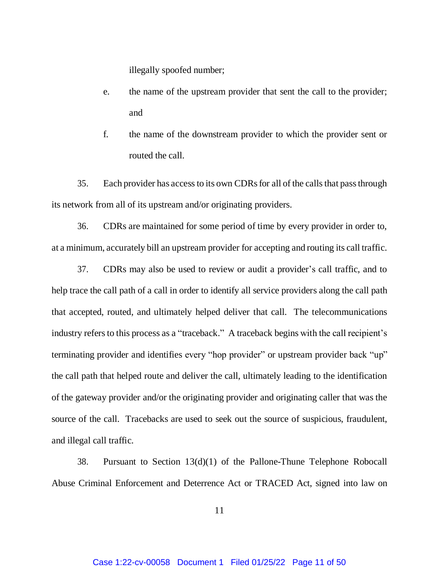illegally spoofed number;

- e. the name of the upstream provider that sent the call to the provider; and
- f. the name of the downstream provider to which the provider sent or routed the call.

35. Each provider has access to its own CDRsfor all of the calls that pass through its network from all of its upstream and/or originating providers.

36. CDRs are maintained for some period of time by every provider in order to, at a minimum, accurately bill an upstream provider for accepting and routing its call traffic.

37. CDRs may also be used to review or audit a provider's call traffic, and to help trace the call path of a call in order to identify all service providers along the call path that accepted, routed, and ultimately helped deliver that call. The telecommunications industry refers to this process as a "traceback." A traceback begins with the call recipient's terminating provider and identifies every "hop provider" or upstream provider back "up" the call path that helped route and deliver the call, ultimately leading to the identification of the gateway provider and/or the originating provider and originating caller that was the source of the call. Tracebacks are used to seek out the source of suspicious, fraudulent, and illegal call traffic.

38. Pursuant to Section 13(d)(1) of the Pallone-Thune Telephone Robocall Abuse Criminal Enforcement and Deterrence Act or TRACED Act, signed into law on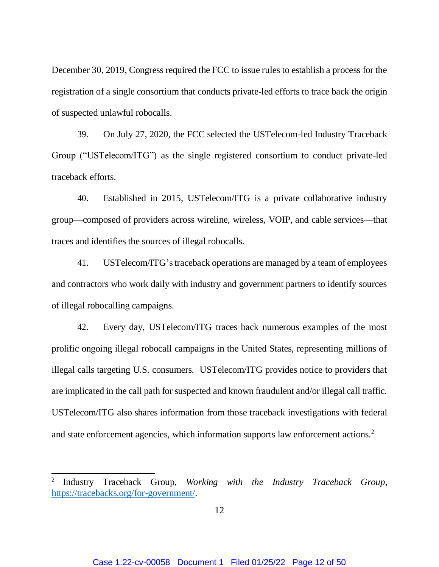December 30, 2019, Congress required the FCC to issue rules to establish a process for the registration of a single consortium that conducts private-led efforts to trace back the origin of suspected unlawful robocalls.

39. On July 27, 2020, the FCC selected the USTelecom-led Industry Traceback Group ("USTelecom/ITG") as the single registered consortium to conduct private-led traceback efforts.

40. Established in 2015, USTelecom/ITG is a private collaborative industry group—composed of providers across wireline, wireless, VOIP, and cable services—that traces and identifies the sources of illegal robocalls.

41. USTelecom/ITG'straceback operations are managed by a team of employees and contractors who work daily with industry and government partners to identify sources of illegal robocalling campaigns.

42. Every day, USTelecom/ITG traces back numerous examples of the most prolific ongoing illegal robocall campaigns in the United States, representing millions of illegal calls targeting U.S. consumers. USTelecom/ITG provides notice to providers that are implicated in the call path for suspected and known fraudulent and/or illegal call traffic. USTelecom/ITG also shares information from those traceback investigations with federal and state enforcement agencies, which information supports law enforcement actions.<sup>2</sup>

 $\overline{a}$ 

<sup>2</sup> Industry Traceback Group, *Working with the Industry Traceback Group*, [https://tracebacks.org/for-government/.](https://tracebacks.org/for-government/)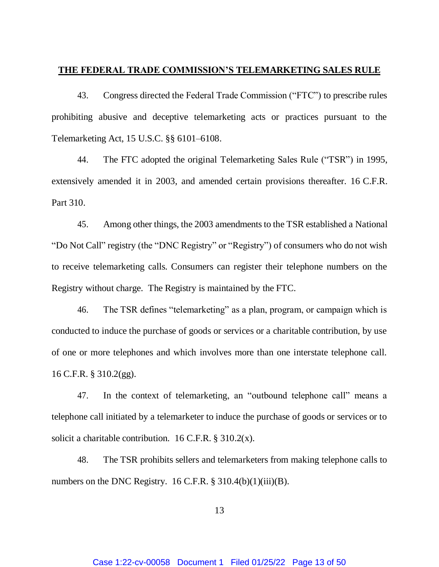#### **THE FEDERAL TRADE COMMISSION'S TELEMARKETING SALES RULE**

43. Congress directed the Federal Trade Commission ("FTC") to prescribe rules prohibiting abusive and deceptive telemarketing acts or practices pursuant to the Telemarketing Act, 15 U.S.C. §§ 6101–6108.

44. The FTC adopted the original Telemarketing Sales Rule ("TSR") in 1995, extensively amended it in 2003, and amended certain provisions thereafter. 16 C.F.R. Part 310.

45. Among other things, the 2003 amendments to the TSR established a National "Do Not Call" registry (the "DNC Registry" or "Registry") of consumers who do not wish to receive telemarketing calls. Consumers can register their telephone numbers on the Registry without charge. The Registry is maintained by the FTC.

46. The TSR defines "telemarketing" as a plan, program, or campaign which is conducted to induce the purchase of goods or services or a charitable contribution, by use of one or more telephones and which involves more than one interstate telephone call. 16 C.F.R. § 310.2(gg).

47. In the context of telemarketing, an "outbound telephone call" means a telephone call initiated by a telemarketer to induce the purchase of goods or services or to solicit a charitable contribution. 16 C.F.R.  $\S$  310.2(x).

48. The TSR prohibits sellers and telemarketers from making telephone calls to numbers on the DNC Registry.  $16$  C.F.R. § 310.4(b)(1)(iii)(B).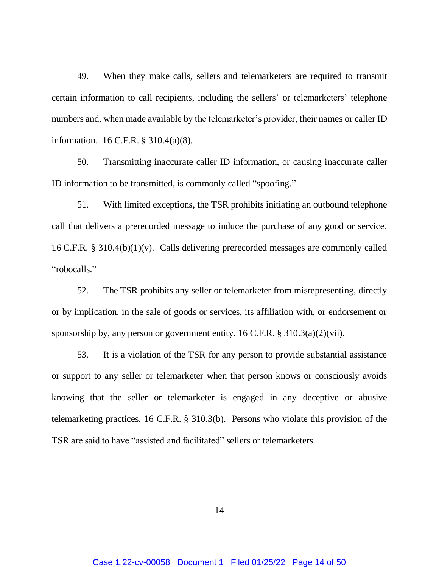49. When they make calls, sellers and telemarketers are required to transmit certain information to call recipients, including the sellers' or telemarketers' telephone numbers and, when made available by the telemarketer's provider, their names or caller ID information. 16 C.F.R. § 310.4(a)(8).

50. Transmitting inaccurate caller ID information, or causing inaccurate caller ID information to be transmitted, is commonly called "spoofing."

51. With limited exceptions, the TSR prohibits initiating an outbound telephone call that delivers a prerecorded message to induce the purchase of any good or service. 16 C.F.R. § 310.4(b)(1)(v). Calls delivering prerecorded messages are commonly called "robocalls."

52. The TSR prohibits any seller or telemarketer from misrepresenting, directly or by implication, in the sale of goods or services, its affiliation with, or endorsement or sponsorship by, any person or government entity.  $16$  C.F.R. §  $310.3(a)(2)(vii)$ .

53. It is a violation of the TSR for any person to provide substantial assistance or support to any seller or telemarketer when that person knows or consciously avoids knowing that the seller or telemarketer is engaged in any deceptive or abusive telemarketing practices. 16 C.F.R. § 310.3(b). Persons who violate this provision of the TSR are said to have "assisted and facilitated" sellers or telemarketers.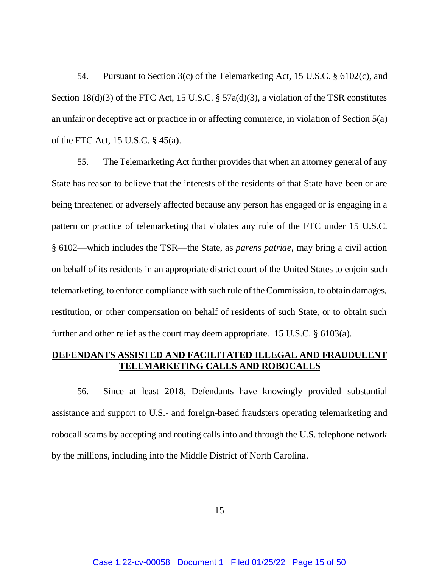54. Pursuant to Section 3(c) of the Telemarketing Act, 15 U.S.C. § 6102(c), and Section 18(d)(3) of the FTC Act, 15 U.S.C. § 57a(d)(3), a violation of the TSR constitutes an unfair or deceptive act or practice in or affecting commerce, in violation of Section 5(a) of the FTC Act, 15 U.S.C. § 45(a).

55. The Telemarketing Act further provides that when an attorney general of any State has reason to believe that the interests of the residents of that State have been or are being threatened or adversely affected because any person has engaged or is engaging in a pattern or practice of telemarketing that violates any rule of the FTC under 15 U.S.C. § 6102—which includes the TSR—the State, as *parens patriae*, may bring a civil action on behalf of its residents in an appropriate district court of the United States to enjoin such telemarketing, to enforce compliance with such rule of the Commission, to obtain damages, restitution, or other compensation on behalf of residents of such State, or to obtain such further and other relief as the court may deem appropriate. 15 U.S.C. § 6103(a).

# **DEFENDANTS ASSISTED AND FACILITATED ILLEGAL AND FRAUDULENT TELEMARKETING CALLS AND ROBOCALLS**

56. Since at least 2018, Defendants have knowingly provided substantial assistance and support to U.S.- and foreign-based fraudsters operating telemarketing and robocall scams by accepting and routing calls into and through the U.S. telephone network by the millions, including into the Middle District of North Carolina.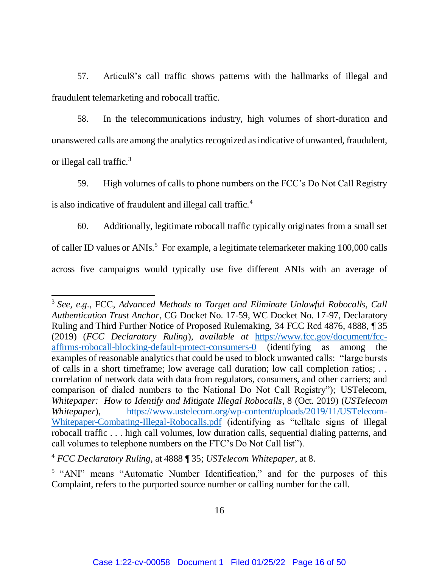57. Articul8's call traffic shows patterns with the hallmarks of illegal and fraudulent telemarketing and robocall traffic.

58. In the telecommunications industry, high volumes of short-duration and unanswered calls are among the analytics recognized as indicative of unwanted, fraudulent, or illegal call traffic.<sup>3</sup>

59. High volumes of calls to phone numbers on the FCC's Do Not Call Registry is also indicative of fraudulent and illegal call traffic.<sup>4</sup>

60. Additionally, legitimate robocall traffic typically originates from a small set of caller ID values or ANIs.<sup>5</sup> For example, a legitimate telemarketer making 100,000 calls across five campaigns would typically use five different ANIs with an average of

 $\overline{a}$ 

<sup>&</sup>lt;sup>3</sup> See, e.g., FCC, Advanced Methods to Target and Eliminate Unlawful Robocalls, Call *Authentication Trust Anchor*, CG Docket No. 17-59, WC Docket No. 17-97, Declaratory Ruling and Third Further Notice of Proposed Rulemaking, 34 FCC Rcd 4876, 4888, ¶ 35 (2019) (*FCC Declaratory Ruling*), *available at* [https://www.fcc.gov/document/fcc](https://www.fcc.gov/document/fcc-affirms-robocall-blocking-default-protect-consumers-0)[affirms-robocall-blocking-default-protect-consumers-0](https://www.fcc.gov/document/fcc-affirms-robocall-blocking-default-protect-consumers-0) (identifying as among the examples of reasonable analytics that could be used to block unwanted calls: "large bursts of calls in a short timeframe; low average call duration; low call completion ratios; . . correlation of network data with data from regulators, consumers, and other carriers; and comparison of dialed numbers to the National Do Not Call Registry"); USTelecom, *Whitepaper: How to Identify and Mitigate Illegal Robocalls*, 8 (Oct. 2019) (*USTelecom Whitepaper*), [https://www.ustelecom.org/wp-content/uploads/2019/11/USTelecom-](https://www.ustelecom.org/wp-content/uploads/2019/11/USTelecom-Whitepaper-Combating-Illegal-Robocalls.pdf)[Whitepaper-Combating-Illegal-Robocalls.pdf](https://www.ustelecom.org/wp-content/uploads/2019/11/USTelecom-Whitepaper-Combating-Illegal-Robocalls.pdf) (identifying as "telltale signs of illegal robocall traffic . . . high call volumes, low duration calls, sequential dialing patterns, and call volumes to telephone numbers on the FTC's Do Not Call list").

<sup>4</sup> *FCC Declaratory Ruling*, at 4888 ¶ 35; *USTelecom Whitepaper*, at 8.

<sup>&</sup>lt;sup>5</sup> "ANI" means "Automatic Number Identification," and for the purposes of this Complaint, refers to the purported source number or calling number for the call.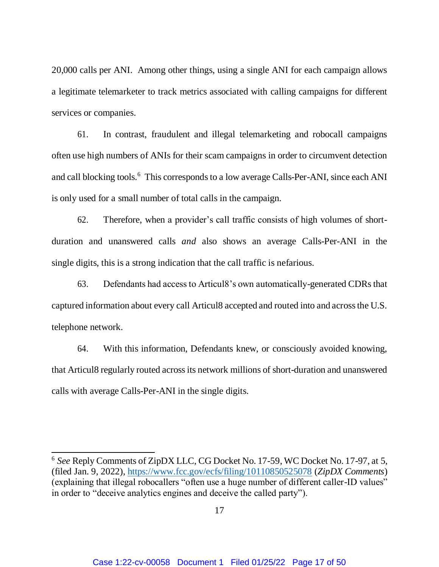20,000 calls per ANI. Among other things, using a single ANI for each campaign allows a legitimate telemarketer to track metrics associated with calling campaigns for different services or companies.

61. In contrast, fraudulent and illegal telemarketing and robocall campaigns often use high numbers of ANIs for their scam campaigns in order to circumvent detection and call blocking tools. 6 This corresponds to a low average Calls-Per-ANI, since each ANI is only used for a small number of total calls in the campaign.

62. Therefore, when a provider's call traffic consists of high volumes of shortduration and unanswered calls *and* also shows an average Calls-Per-ANI in the single digits, this is a strong indication that the call traffic is nefarious.

63. Defendants had access to Articul8's own automatically-generated CDRs that captured information about every call Articul8 accepted and routed into and across the U.S. telephone network.

64. With this information, Defendants knew, or consciously avoided knowing, that Articul8 regularly routed across its network millions of short-duration and unanswered calls with average Calls-Per-ANI in the single digits.

 $\overline{\phantom{a}}$ 

<sup>6</sup> *See* Reply Comments of ZipDX LLC, CG Docket No. 17-59, WC Docket No. 17-97, at 5, (filed Jan. 9, 2022),<https://www.fcc.gov/ecfs/filing/10110850525078> (*ZipDX Comments*) (explaining that illegal robocallers "often use a huge number of different caller-ID values" in order to "deceive analytics engines and deceive the called party").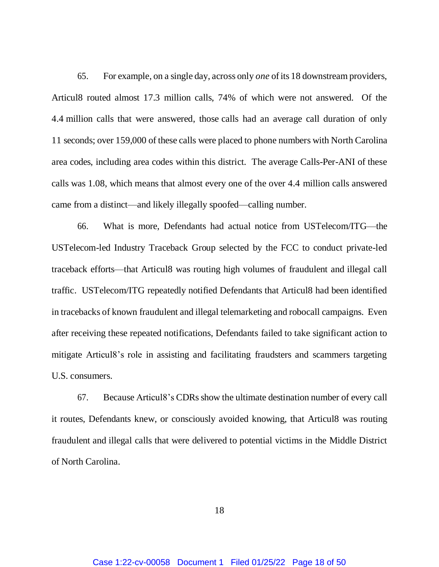65. For example, on a single day, across only *one* of its 18 downstream providers, Articul8 routed almost 17.3 million calls, 74% of which were not answered. Of the 4.4 million calls that were answered, those calls had an average call duration of only 11 seconds; over 159,000 of these calls were placed to phone numbers with North Carolina area codes, including area codes within this district. The average Calls-Per-ANI of these calls was 1.08, which means that almost every one of the over 4.4 million calls answered came from a distinct—and likely illegally spoofed—calling number.

66. What is more, Defendants had actual notice from USTelecom/ITG—the USTelecom-led Industry Traceback Group selected by the FCC to conduct private-led traceback efforts—that Articul8 was routing high volumes of fraudulent and illegal call traffic. USTelecom/ITG repeatedly notified Defendants that Articul8 had been identified in tracebacks of known fraudulent and illegal telemarketing and robocall campaigns. Even after receiving these repeated notifications, Defendants failed to take significant action to mitigate Articul8's role in assisting and facilitating fraudsters and scammers targeting U.S. consumers.

67. Because Articul8's CDRs show the ultimate destination number of every call it routes, Defendants knew, or consciously avoided knowing, that Articul8 was routing fraudulent and illegal calls that were delivered to potential victims in the Middle District of North Carolina.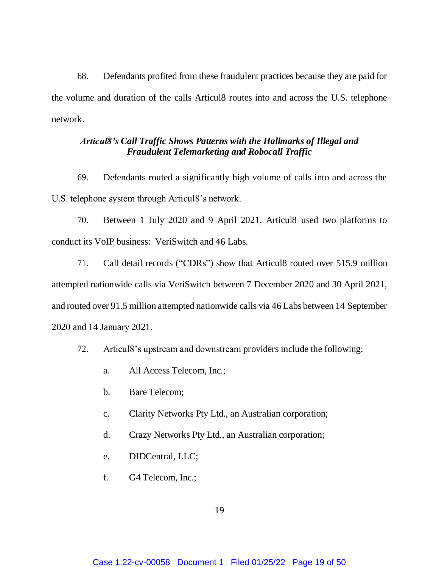68. Defendants profited from these fraudulent practices because they are paid for the volume and duration of the calls Articul8 routes into and across the U.S. telephone network.

# *Articul8's Call Traffic Shows Patterns with the Hallmarks of Illegal and Fraudulent Telemarketing and Robocall Traffic*

69. Defendants routed a significantly high volume of calls into and across the U.S. telephone system through Articul8's network.

70. Between 1 July 2020 and 9 April 2021, Articul8 used two platforms to conduct its VoIP business: VeriSwitch and 46 Labs.

71. Call detail records ("CDRs") show that Articul8 routed over 515.9 million attempted nationwide calls via VeriSwitch between 7 December 2020 and 30 April 2021, and routed over 91.5 million attempted nationwide calls via 46 Labs between 14 September 2020 and 14 January 2021.

- 72. Articul8's upstream and downstream providers include the following:
	- a. All Access Telecom, Inc.;
	- b. Bare Telecom;
	- c. Clarity Networks Pty Ltd., an Australian corporation;
	- d. Crazy Networks Pty Ltd., an Australian corporation;
	- e. DIDCentral, LLC;
	- f. G4 Telecom, Inc.;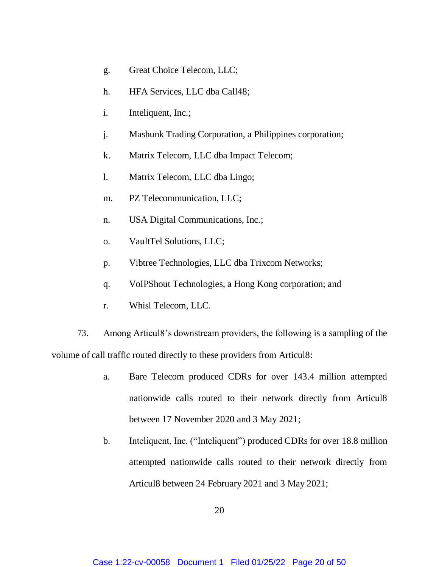- g. Great Choice Telecom, LLC;
- h. HFA Services, LLC dba Call48;
- i. Inteliquent, Inc.;
- j. Mashunk Trading Corporation, a Philippines corporation;
- k. Matrix Telecom, LLC dba Impact Telecom;
- l. Matrix Telecom, LLC dba Lingo;
- m. PZ Telecommunication, LLC;
- n. USA Digital Communications, Inc.;
- o. VaultTel Solutions, LLC;
- p. Vibtree Technologies, LLC dba Trixcom Networks;
- q. VoIPShout Technologies, a Hong Kong corporation; and
- r. Whisl Telecom, LLC.

73. Among Articul8's downstream providers, the following is a sampling of the volume of call traffic routed directly to these providers from Articul8:

- a. Bare Telecom produced CDRs for over 143.4 million attempted nationwide calls routed to their network directly from Articul8 between 17 November 2020 and 3 May 2021;
- b. Inteliquent, Inc. ("Inteliquent") produced CDRs for over 18.8 million attempted nationwide calls routed to their network directly from Articul8 between 24 February 2021 and 3 May 2021;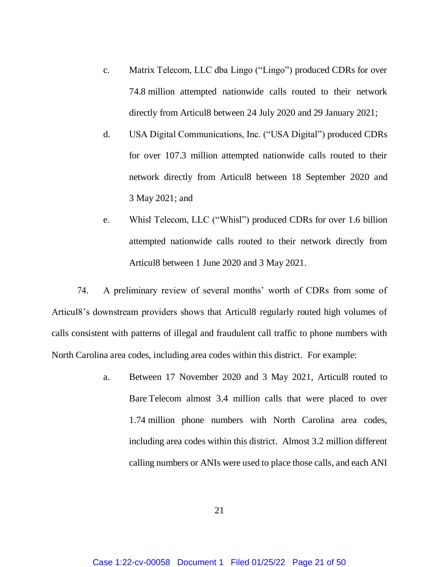- c. Matrix Telecom, LLC dba Lingo ("Lingo") produced CDRs for over 74.8 million attempted nationwide calls routed to their network directly from Articul8 between 24 July 2020 and 29 January 2021;
- d. USA Digital Communications, Inc. ("USA Digital") produced CDRs for over 107.3 million attempted nationwide calls routed to their network directly from Articul8 between 18 September 2020 and 3 May 2021; and
- e. Whisl Telecom, LLC ("Whisl") produced CDRs for over 1.6 billion attempted nationwide calls routed to their network directly from Articul8 between 1 June 2020 and 3 May 2021.

74. A preliminary review of several months' worth of CDRs from some of Articul8's downstream providers shows that Articul8 regularly routed high volumes of calls consistent with patterns of illegal and fraudulent call traffic to phone numbers with North Carolina area codes, including area codes within this district. For example:

> a. Between 17 November 2020 and 3 May 2021, Articul8 routed to Bare Telecom almost 3.4 million calls that were placed to over 1.74 million phone numbers with North Carolina area codes, including area codes within this district. Almost 3.2 million different calling numbers or ANIs were used to place those calls, and each ANI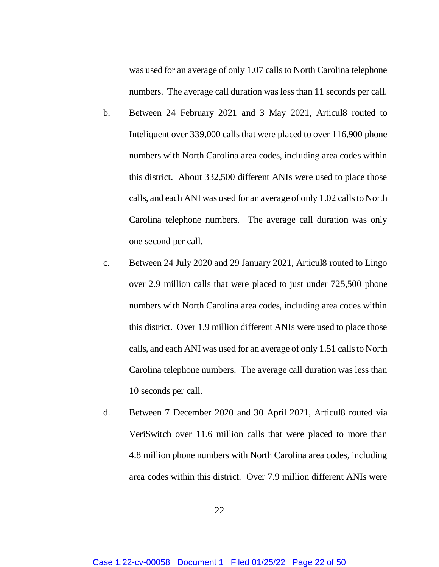was used for an average of only 1.07 calls to North Carolina telephone numbers. The average call duration was less than 11 seconds per call.

- b. Between 24 February 2021 and 3 May 2021, Articul8 routed to Inteliquent over 339,000 calls that were placed to over 116,900 phone numbers with North Carolina area codes, including area codes within this district. About 332,500 different ANIs were used to place those calls, and each ANI was used for an average of only 1.02 calls to North Carolina telephone numbers. The average call duration was only one second per call.
- c. Between 24 July 2020 and 29 January 2021, Articul8 routed to Lingo over 2.9 million calls that were placed to just under 725,500 phone numbers with North Carolina area codes, including area codes within this district. Over 1.9 million different ANIs were used to place those calls, and each ANI was used for an average of only 1.51 calls to North Carolina telephone numbers. The average call duration was less than 10 seconds per call.
- d. Between 7 December 2020 and 30 April 2021, Articul8 routed via VeriSwitch over 11.6 million calls that were placed to more than 4.8 million phone numbers with North Carolina area codes, including area codes within this district. Over 7.9 million different ANIs were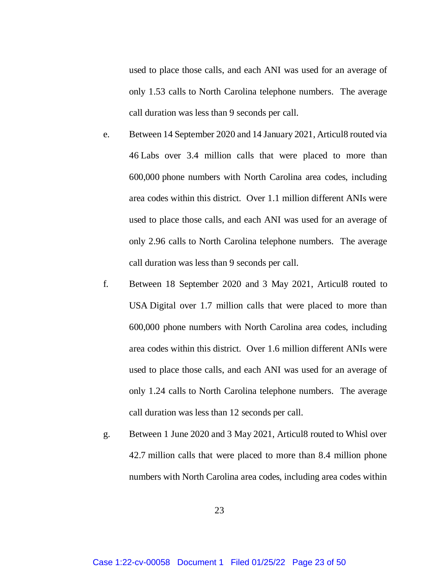used to place those calls, and each ANI was used for an average of only 1.53 calls to North Carolina telephone numbers. The average call duration was less than 9 seconds per call.

- e. Between 14 September 2020 and 14 January 2021, Articul8 routed via 46 Labs over 3.4 million calls that were placed to more than 600,000 phone numbers with North Carolina area codes, including area codes within this district. Over 1.1 million different ANIs were used to place those calls, and each ANI was used for an average of only 2.96 calls to North Carolina telephone numbers. The average call duration was less than 9 seconds per call.
- f. Between 18 September 2020 and 3 May 2021, Articul8 routed to USA Digital over 1.7 million calls that were placed to more than 600,000 phone numbers with North Carolina area codes, including area codes within this district. Over 1.6 million different ANIs were used to place those calls, and each ANI was used for an average of only 1.24 calls to North Carolina telephone numbers. The average call duration was less than 12 seconds per call.
- g. Between 1 June 2020 and 3 May 2021, Articul8 routed to Whisl over 42.7 million calls that were placed to more than 8.4 million phone numbers with North Carolina area codes, including area codes within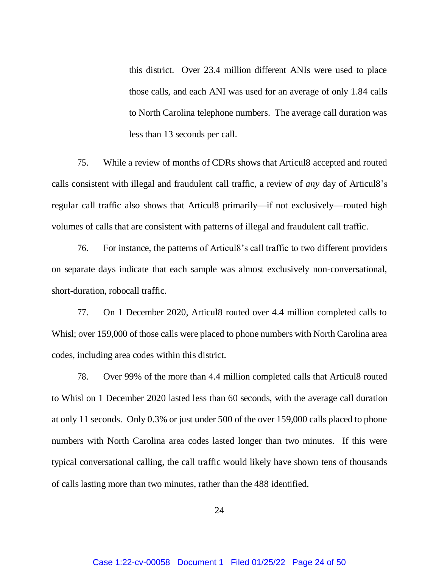this district. Over 23.4 million different ANIs were used to place those calls, and each ANI was used for an average of only 1.84 calls to North Carolina telephone numbers. The average call duration was less than 13 seconds per call.

75. While a review of months of CDRs shows that Articul8 accepted and routed calls consistent with illegal and fraudulent call traffic, a review of *any* day of Articul8's regular call traffic also shows that Articul8 primarily—if not exclusively—routed high volumes of calls that are consistent with patterns of illegal and fraudulent call traffic.

76. For instance, the patterns of Articul8's call traffic to two different providers on separate days indicate that each sample was almost exclusively non-conversational, short-duration, robocall traffic.

77. On 1 December 2020, Articul8 routed over 4.4 million completed calls to Whisl; over 159,000 of those calls were placed to phone numbers with North Carolina area codes, including area codes within this district.

78. Over 99% of the more than 4.4 million completed calls that Articul8 routed to Whisl on 1 December 2020 lasted less than 60 seconds, with the average call duration at only 11 seconds. Only 0.3% or just under 500 of the over 159,000 calls placed to phone numbers with North Carolina area codes lasted longer than two minutes. If this were typical conversational calling, the call traffic would likely have shown tens of thousands of calls lasting more than two minutes, rather than the 488 identified.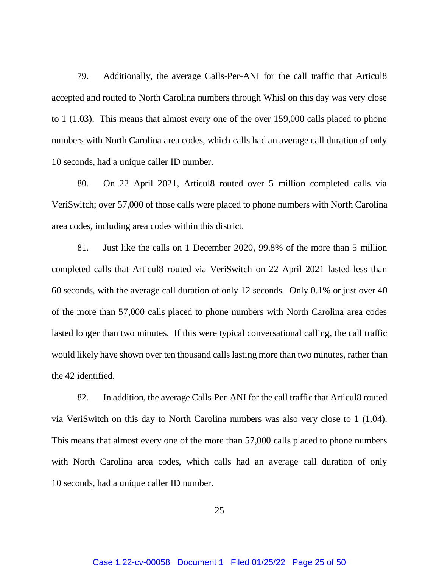79. Additionally, the average Calls-Per-ANI for the call traffic that Articul8 accepted and routed to North Carolina numbers through Whisl on this day was very close to 1 (1.03). This means that almost every one of the over 159,000 calls placed to phone numbers with North Carolina area codes, which calls had an average call duration of only 10 seconds, had a unique caller ID number.

80. On 22 April 2021, Articul8 routed over 5 million completed calls via VeriSwitch; over 57,000 of those calls were placed to phone numbers with North Carolina area codes, including area codes within this district.

81. Just like the calls on 1 December 2020, 99.8% of the more than 5 million completed calls that Articul8 routed via VeriSwitch on 22 April 2021 lasted less than 60 seconds, with the average call duration of only 12 seconds. Only 0.1% or just over 40 of the more than 57,000 calls placed to phone numbers with North Carolina area codes lasted longer than two minutes. If this were typical conversational calling, the call traffic would likely have shown over ten thousand calls lasting more than two minutes, rather than the 42 identified.

82. In addition, the average Calls-Per-ANI for the call traffic that Articul8 routed via VeriSwitch on this day to North Carolina numbers was also very close to 1 (1.04). This means that almost every one of the more than 57,000 calls placed to phone numbers with North Carolina area codes, which calls had an average call duration of only 10 seconds, had a unique caller ID number.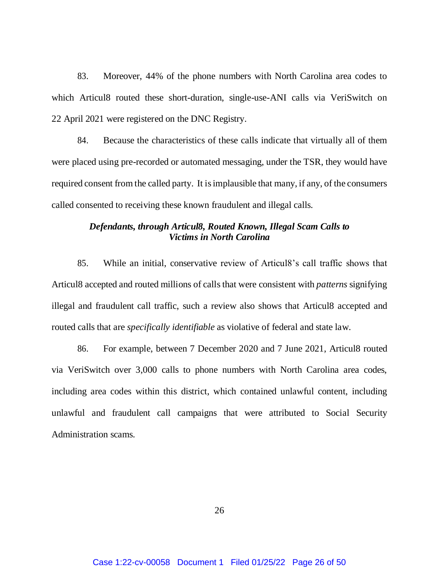83. Moreover, 44% of the phone numbers with North Carolina area codes to which Articul8 routed these short-duration, single-use-ANI calls via VeriSwitch on 22 April 2021 were registered on the DNC Registry.

84. Because the characteristics of these calls indicate that virtually all of them were placed using pre-recorded or automated messaging, under the TSR, they would have required consent from the called party. It is implausible that many, if any, of the consumers called consented to receiving these known fraudulent and illegal calls.

## *Defendants, through Articul8, Routed Known, Illegal Scam Calls to Victims in North Carolina*

85. While an initial, conservative review of Articul8's call traffic shows that Articul8 accepted and routed millions of calls that were consistent with *patterns* signifying illegal and fraudulent call traffic, such a review also shows that Articul8 accepted and routed calls that are *specifically identifiable* as violative of federal and state law.

86. For example, between 7 December 2020 and 7 June 2021, Articul8 routed via VeriSwitch over 3,000 calls to phone numbers with North Carolina area codes, including area codes within this district, which contained unlawful content, including unlawful and fraudulent call campaigns that were attributed to Social Security Administration scams.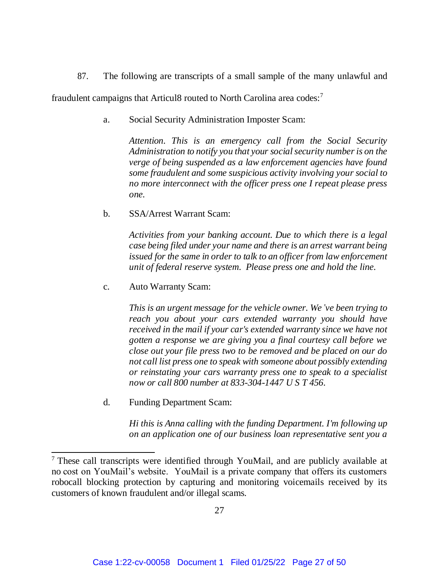87. The following are transcripts of a small sample of the many unlawful and fraudulent campaigns that Articul8 routed to North Carolina area codes:<sup>7</sup>

a. Social Security Administration Imposter Scam:

*Attention. This is an emergency call from the Social Security Administration to notify you that your social security number is on the verge of being suspended as a law enforcement agencies have found some fraudulent and some suspicious activity involving your social to no more interconnect with the officer press one I repeat please press one.* 

## b. SSA/Arrest Warrant Scam:

*Activities from your banking account. Due to which there is a legal case being filed under your name and there is an arrest warrant being issued for the same in order to talk to an officer from law enforcement unit of federal reserve system. Please press one and hold the line.*

c. Auto Warranty Scam:

*This is an urgent message for the vehicle owner. We've been trying to reach you about your cars extended warranty you should have received in the mail if your car's extended warranty since we have not gotten a response we are giving you a final courtesy call before we close out your file press two to be removed and be placed on our do not call list press one to speak with someone about possibly extending or reinstating your cars warranty press one to speak to a specialist now or call 800 number at 833-304-1447 U S T 456.*

d. Funding Department Scam:

 $\overline{\phantom{a}}$ 

*Hi this is Anna calling with the funding Department. I'm following up on an application one of our business loan representative sent you a* 

 $7$  These call transcripts were identified through YouMail, and are publicly available at no cost on YouMail's website. YouMail is a private company that offers its customers robocall blocking protection by capturing and monitoring voicemails received by its customers of known fraudulent and/or illegal scams.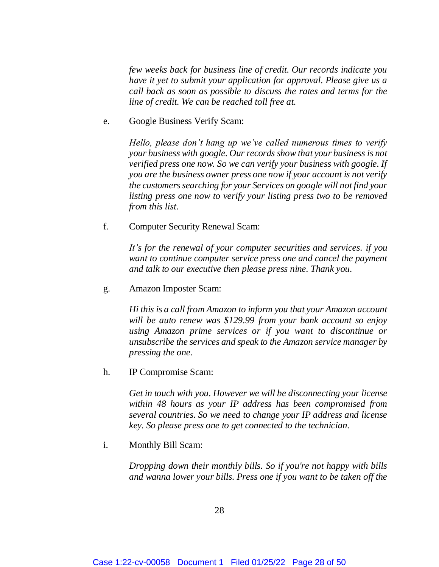*few weeks back for business line of credit. Our records indicate you have it yet to submit your application for approval. Please give us a call back as soon as possible to discuss the rates and terms for the line of credit. We can be reached toll free at.*

e. Google Business Verify Scam:

*Hello, please don't hang up we've called numerous times to verify your business with google. Our records show that your business is not verified press one now. So we can verify your business with google. If you are the business owner press one now if your account is not verify the customers searching for your Services on google will not find your listing press one now to verify your listing press two to be removed from this list.*

f. Computer Security Renewal Scam:

*It's for the renewal of your computer securities and services. if you want to continue computer service press one and cancel the payment and talk to our executive then please press nine. Thank you.*

g. Amazon Imposter Scam:

*Hi this is a call from Amazon to inform you that your Amazon account will be auto renew was \$129.99 from your bank account so enjoy using Amazon prime services or if you want to discontinue or unsubscribe the services and speak to the Amazon service manager by pressing the one.*

h. IP Compromise Scam:

*Get in touch with you. However we will be disconnecting your license within 48 hours as your IP address has been compromised from several countries. So we need to change your IP address and license key. So please press one to get connected to the technician.*

i. Monthly Bill Scam:

*Dropping down their monthly bills. So if you're not happy with bills and wanna lower your bills. Press one if you want to be taken off the*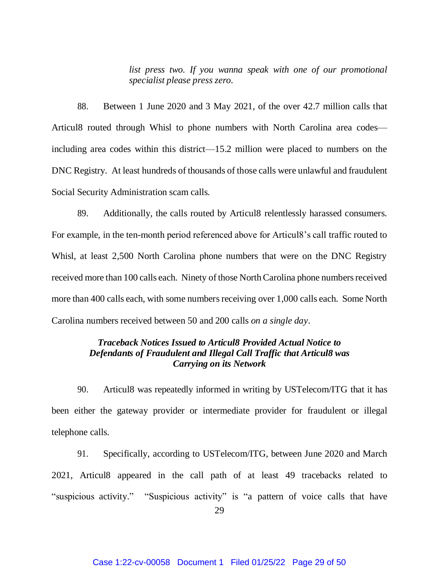*list press two. If you wanna speak with one of our promotional specialist please press zero.*

88. Between 1 June 2020 and 3 May 2021, of the over 42.7 million calls that Articul8 routed through Whisl to phone numbers with North Carolina area codes including area codes within this district—15.2 million were placed to numbers on the DNC Registry. At least hundreds of thousands of those calls were unlawful and fraudulent Social Security Administration scam calls.

89. Additionally, the calls routed by Articul8 relentlessly harassed consumers. For example, in the ten-month period referenced above for Articul8's call traffic routed to Whisl, at least 2,500 North Carolina phone numbers that were on the DNC Registry received more than 100 calls each. Ninety of those North Carolina phone numbers received more than 400 calls each, with some numbers receiving over 1,000 calls each. Some North Carolina numbers received between 50 and 200 calls *on a single day*.

# *Traceback Notices Issued to Articul8 Provided Actual Notice to Defendants of Fraudulent and Illegal Call Traffic that Articul8 was Carrying on its Network*

90. Articul8 was repeatedly informed in writing by USTelecom/ITG that it has been either the gateway provider or intermediate provider for fraudulent or illegal telephone calls.

91. Specifically, according to USTelecom/ITG, between June 2020 and March 2021, Articul8 appeared in the call path of at least 49 tracebacks related to "suspicious activity." "Suspicious activity" is "a pattern of voice calls that have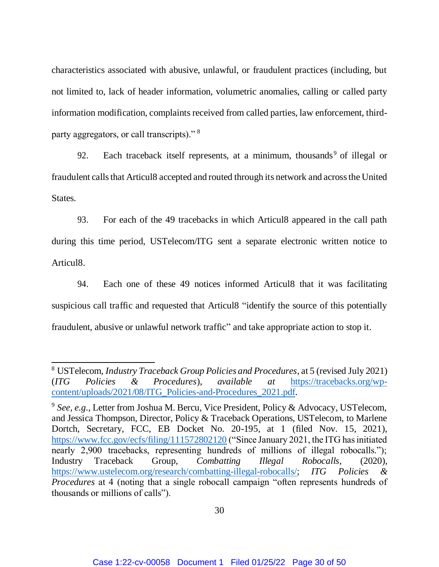characteristics associated with abusive, unlawful, or fraudulent practices (including, but not limited to, lack of header information, volumetric anomalies, calling or called party information modification, complaints received from called parties, law enforcement, thirdparty aggregators, or call transcripts)."<sup>8</sup>

92. Each traceback itself represents, at a minimum, thousands<sup>9</sup> of illegal or fraudulent calls that Articul8 accepted and routed through its network and across the United States.

93. For each of the 49 tracebacks in which Articul8 appeared in the call path during this time period, USTelecom/ITG sent a separate electronic written notice to Articul8.

94. Each one of these 49 notices informed Articul8 that it was facilitating suspicious call traffic and requested that Articul8 "identify the source of this potentially fraudulent, abusive or unlawful network traffic" and take appropriate action to stop it.

 $\overline{\phantom{a}}$ 

<sup>8</sup> USTelecom, *Industry Traceback Group Policies and Procedures*, at 5 (revised July 2021) (*ITG Policies & Procedures*), *available at* [https://tracebacks.org/wp](https://tracebacks.org/wp-content/uploads/2021/08/ITG_Policies-and-Procedures_2021.pdf)[content/uploads/2021/08/ITG\\_Policies-and-Procedures\\_2021.pdf.](https://tracebacks.org/wp-content/uploads/2021/08/ITG_Policies-and-Procedures_2021.pdf)

<sup>&</sup>lt;sup>9</sup> See, e.g., Letter from Joshua M. Bercu, Vice President, Policy & Advocacy, USTelecom, and Jessica Thompson, Director, Policy & Traceback Operations, USTelecom, to Marlene Dortch, Secretary, FCC, EB Docket No. 20-195, at 1 (filed Nov. 15, 2021), <https://www.fcc.gov/ecfs/filing/111572802120> ("Since January 2021, the ITG has initiated nearly 2,900 tracebacks, representing hundreds of millions of illegal robocalls."); Industry Traceback Group, *Combatting Illegal Robocalls*, (2020), [https://www.ustelecom.org/research/combatting-illegal-robocalls/;](https://www.ustelecom.org/research/combatting-illegal-robocalls/) *ITG Policies & Procedures* at 4 (noting that a single robocall campaign "often represents hundreds of thousands or millions of calls").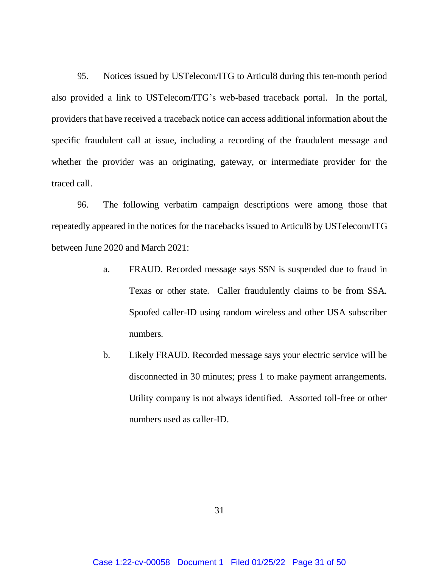95. Notices issued by USTelecom/ITG to Articul8 during this ten-month period also provided a link to USTelecom/ITG's web-based traceback portal. In the portal, providers that have received a traceback notice can access additional information about the specific fraudulent call at issue, including a recording of the fraudulent message and whether the provider was an originating, gateway, or intermediate provider for the traced call.

96. The following verbatim campaign descriptions were among those that repeatedly appeared in the notices for the tracebacks issued to Articul8 by USTelecom/ITG between June 2020 and March 2021:

- a. FRAUD. Recorded message says SSN is suspended due to fraud in Texas or other state. Caller fraudulently claims to be from SSA. Spoofed caller-ID using random wireless and other USA subscriber numbers.
- b. Likely FRAUD. Recorded message says your electric service will be disconnected in 30 minutes; press 1 to make payment arrangements. Utility company is not always identified. Assorted toll-free or other numbers used as caller-ID.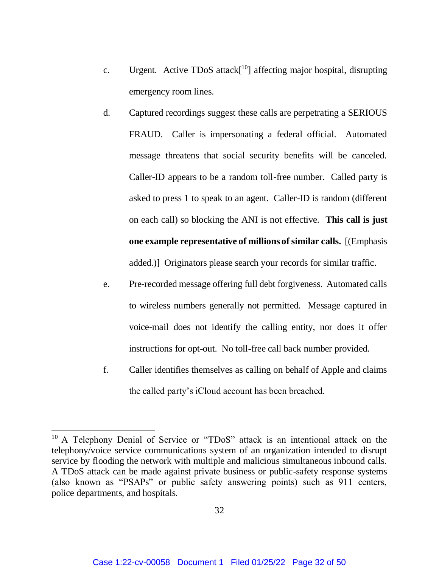- c. Urgent. Active TDoS attack[ <sup>10</sup>] affecting major hospital, disrupting emergency room lines.
- d. Captured recordings suggest these calls are perpetrating a SERIOUS FRAUD. Caller is impersonating a federal official. Automated message threatens that social security benefits will be canceled. Caller-ID appears to be a random toll-free number. Called party is asked to press 1 to speak to an agent. Caller-ID is random (different on each call) so blocking the ANI is not effective. **This call is just one example representative of millions of similar calls.** [(Emphasis added.)] Originators please search your records for similar traffic.
- e. Pre-recorded message offering full debt forgiveness. Automated calls to wireless numbers generally not permitted. Message captured in voice-mail does not identify the calling entity, nor does it offer instructions for opt-out. No toll-free call back number provided.
- f. Caller identifies themselves as calling on behalf of Apple and claims the called party's iCloud account has been breached.

 $\overline{\phantom{a}}$ 

<sup>&</sup>lt;sup>10</sup> A Telephony Denial of Service or "TDoS" attack is an intentional attack on the telephony/voice service communications system of an organization intended to disrupt service by flooding the network with multiple and malicious simultaneous inbound calls. A TDoS attack can be made against private business or public-safety response systems (also known as "PSAPs" or public safety answering points) such as 911 centers, police departments, and hospitals.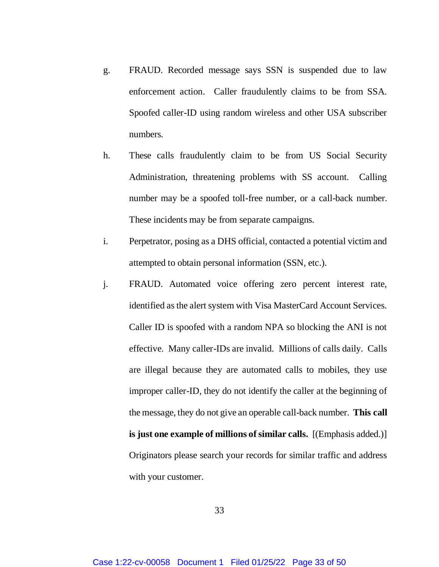- g. FRAUD. Recorded message says SSN is suspended due to law enforcement action. Caller fraudulently claims to be from SSA. Spoofed caller-ID using random wireless and other USA subscriber numbers.
- h. These calls fraudulently claim to be from US Social Security Administration, threatening problems with SS account. Calling number may be a spoofed toll-free number, or a call-back number. These incidents may be from separate campaigns.
- i. Perpetrator, posing as a DHS official, contacted a potential victim and attempted to obtain personal information (SSN, etc.).
- j. FRAUD. Automated voice offering zero percent interest rate, identified as the alert system with Visa MasterCard Account Services. Caller ID is spoofed with a random NPA so blocking the ANI is not effective. Many caller-IDs are invalid. Millions of calls daily. Calls are illegal because they are automated calls to mobiles, they use improper caller-ID, they do not identify the caller at the beginning of the message, they do not give an operable call-back number. **This call is just one example of millions of similar calls.** [(Emphasis added.)] Originators please search your records for similar traffic and address with your customer.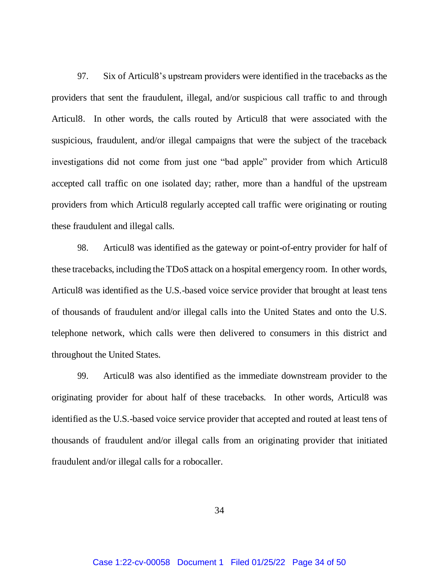97. Six of Articul8's upstream providers were identified in the tracebacks as the providers that sent the fraudulent, illegal, and/or suspicious call traffic to and through Articul8. In other words, the calls routed by Articul8 that were associated with the suspicious, fraudulent, and/or illegal campaigns that were the subject of the traceback investigations did not come from just one "bad apple" provider from which Articul8 accepted call traffic on one isolated day; rather, more than a handful of the upstream providers from which Articul8 regularly accepted call traffic were originating or routing these fraudulent and illegal calls.

98. Articul8 was identified as the gateway or point-of-entry provider for half of these tracebacks, including the TDoS attack on a hospital emergency room. In other words, Articul8 was identified as the U.S.-based voice service provider that brought at least tens of thousands of fraudulent and/or illegal calls into the United States and onto the U.S. telephone network, which calls were then delivered to consumers in this district and throughout the United States.

99. Articul8 was also identified as the immediate downstream provider to the originating provider for about half of these tracebacks. In other words, Articul8 was identified as the U.S.-based voice service provider that accepted and routed at least tens of thousands of fraudulent and/or illegal calls from an originating provider that initiated fraudulent and/or illegal calls for a robocaller.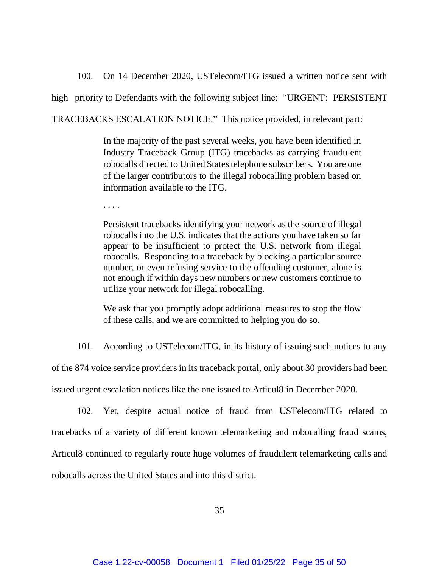100. On 14 December 2020, USTelecom/ITG issued a written notice sent with high priority to Defendants with the following subject line: "URGENT: PERSISTENT TRACEBACKS ESCALATION NOTICE." This notice provided, in relevant part:

> In the majority of the past several weeks, you have been identified in Industry Traceback Group (ITG) tracebacks as carrying fraudulent robocalls directed to United States telephone subscribers. You are one of the larger contributors to the illegal robocalling problem based on information available to the ITG.

. . . .

Persistent tracebacks identifying your network as the source of illegal robocalls into the U.S. indicates that the actions you have taken so far appear to be insufficient to protect the U.S. network from illegal robocalls. Responding to a traceback by blocking a particular source number, or even refusing service to the offending customer, alone is not enough if within days new numbers or new customers continue to utilize your network for illegal robocalling.

We ask that you promptly adopt additional measures to stop the flow of these calls, and we are committed to helping you do so.

101. According to USTelecom/ITG, in its history of issuing such notices to any

of the 874 voice service providers in its traceback portal, only about 30 providers had been issued urgent escalation notices like the one issued to Articul8 in December 2020.

102. Yet, despite actual notice of fraud from USTelecom/ITG related to tracebacks of a variety of different known telemarketing and robocalling fraud scams, Articul8 continued to regularly route huge volumes of fraudulent telemarketing calls and robocalls across the United States and into this district.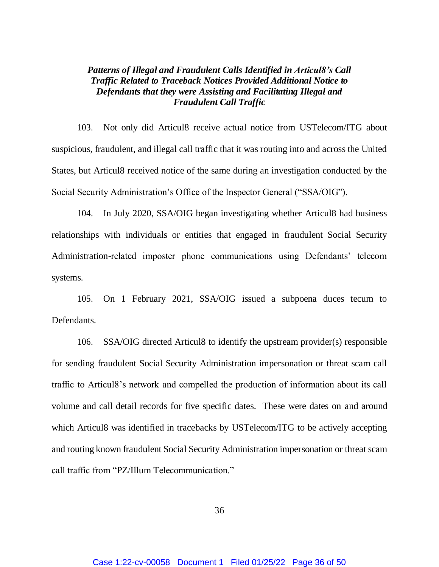# *Patterns of Illegal and Fraudulent Calls Identified in Articul8's Call Traffic Related to Traceback Notices Provided Additional Notice to Defendants that they were Assisting and Facilitating Illegal and Fraudulent Call Traffic*

103. Not only did Articul8 receive actual notice from USTelecom/ITG about suspicious, fraudulent, and illegal call traffic that it was routing into and across the United States, but Articul8 received notice of the same during an investigation conducted by the Social Security Administration's Office of the Inspector General ("SSA/OIG").

104. In July 2020, SSA/OIG began investigating whether Articul8 had business relationships with individuals or entities that engaged in fraudulent Social Security Administration-related imposter phone communications using Defendants' telecom systems.

105. On 1 February 2021, SSA/OIG issued a subpoena duces tecum to Defendants.

106. SSA/OIG directed Articul8 to identify the upstream provider(s) responsible for sending fraudulent Social Security Administration impersonation or threat scam call traffic to Articul8's network and compelled the production of information about its call volume and call detail records for five specific dates. These were dates on and around which Articul8 was identified in tracebacks by USTelecom/ITG to be actively accepting and routing known fraudulent Social Security Administration impersonation or threat scam call traffic from "PZ/Illum Telecommunication."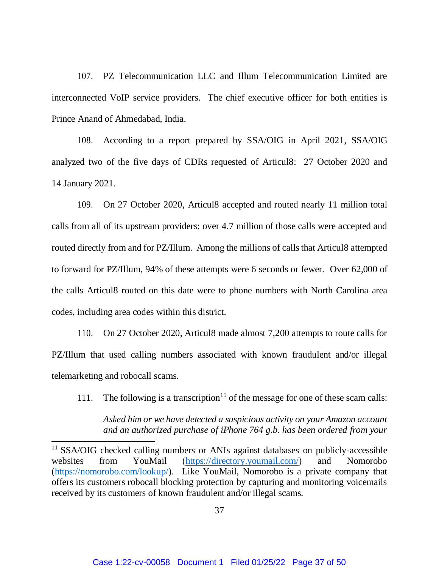107. PZ Telecommunication LLC and Illum Telecommunication Limited are interconnected VoIP service providers. The chief executive officer for both entities is Prince Anand of Ahmedabad, India.

108. According to a report prepared by SSA/OIG in April 2021, SSA/OIG analyzed two of the five days of CDRs requested of Articul8: 27 October 2020 and 14 January 2021.

109. On 27 October 2020, Articul8 accepted and routed nearly 11 million total calls from all of its upstream providers; over 4.7 million of those calls were accepted and routed directly from and for PZ/Illum. Among the millions of calls that Articul8 attempted to forward for PZ/Illum, 94% of these attempts were 6 seconds or fewer. Over 62,000 of the calls Articul8 routed on this date were to phone numbers with North Carolina area codes, including area codes within this district.

110. On 27 October 2020, Articul8 made almost 7,200 attempts to route calls for PZ/Illum that used calling numbers associated with known fraudulent and/or illegal telemarketing and robocall scams.

111. The following is a transcription<sup>11</sup> of the message for one of these scam calls:

*Asked him or we have detected a suspicious activity on your Amazon account and an authorized purchase of iPhone 764 g.b. has been ordered from your* 

 $\overline{\phantom{a}}$ 

<sup>&</sup>lt;sup>11</sup> SSA/OIG checked calling numbers or ANIs against databases on publicly-accessible websites from YouMail [\(https://directory.youmail.com/\)](https://directory.youmail.com/) and Nomorobo [\(https://nomorobo.com/lookup/\)](https://nomorobo.com/lookup/). Like YouMail, Nomorobo is a private company that offers its customers robocall blocking protection by capturing and monitoring voicemails received by its customers of known fraudulent and/or illegal scams.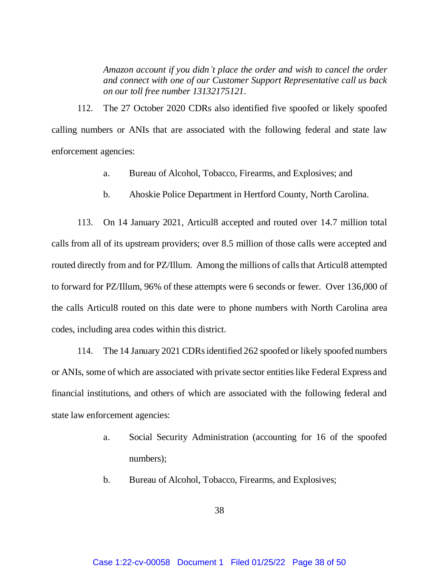*Amazon account if you didn't place the order and wish to cancel the order and connect with one of our Customer Support Representative call us back on our toll free number 13132175121.*

112. The 27 October 2020 CDRs also identified five spoofed or likely spoofed calling numbers or ANIs that are associated with the following federal and state law enforcement agencies:

- a. Bureau of Alcohol, Tobacco, Firearms, and Explosives; and
- b. Ahoskie Police Department in Hertford County, North Carolina.

113. On 14 January 2021, Articul8 accepted and routed over 14.7 million total calls from all of its upstream providers; over 8.5 million of those calls were accepted and routed directly from and for PZ/Illum. Among the millions of calls that Articul8 attempted to forward for PZ/Illum, 96% of these attempts were 6 seconds or fewer. Over 136,000 of the calls Articul8 routed on this date were to phone numbers with North Carolina area codes, including area codes within this district.

114. The 14 January 2021 CDRs identified 262 spoofed or likely spoofed numbers or ANIs, some of which are associated with private sector entities like Federal Express and financial institutions, and others of which are associated with the following federal and state law enforcement agencies:

- a. Social Security Administration (accounting for 16 of the spoofed numbers);
- b. Bureau of Alcohol, Tobacco, Firearms, and Explosives;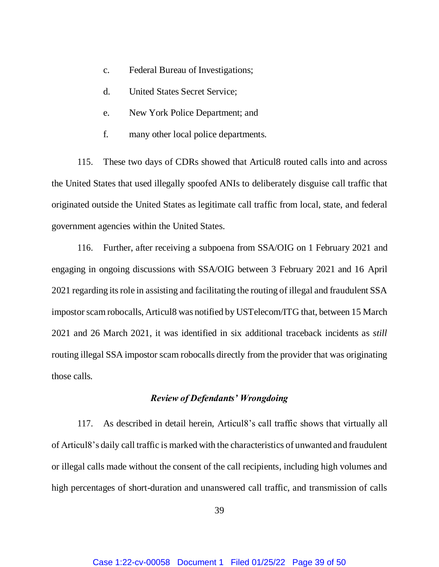- c. Federal Bureau of Investigations;
- d. United States Secret Service;
- e. New York Police Department; and
- f. many other local police departments.

115. These two days of CDRs showed that Articul8 routed calls into and across the United States that used illegally spoofed ANIs to deliberately disguise call traffic that originated outside the United States as legitimate call traffic from local, state, and federal government agencies within the United States.

116. Further, after receiving a subpoena from SSA/OIG on 1 February 2021 and engaging in ongoing discussions with SSA/OIG between 3 February 2021 and 16 April 2021 regarding its role in assisting and facilitating the routing of illegal and fraudulent SSA impostor scam robocalls, Articul8 was notified by USTelecom/ITG that, between 15 March 2021 and 26 March 2021, it was identified in six additional traceback incidents as *still* routing illegal SSA impostor scam robocalls directly from the provider that was originating those calls.

## *Review of Defendants' Wrongdoing*

117. As described in detail herein, Articul8's call traffic shows that virtually all of Articul8's daily call traffic is marked with the characteristics of unwanted and fraudulent or illegal calls made without the consent of the call recipients, including high volumes and high percentages of short-duration and unanswered call traffic, and transmission of calls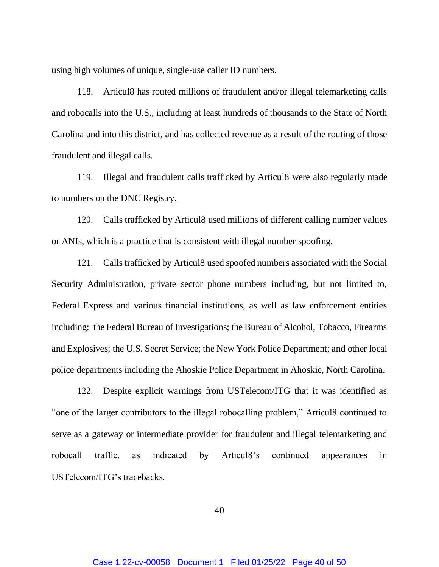using high volumes of unique, single-use caller ID numbers.

118. Articul8 has routed millions of fraudulent and/or illegal telemarketing calls and robocalls into the U.S., including at least hundreds of thousands to the State of North Carolina and into this district, and has collected revenue as a result of the routing of those fraudulent and illegal calls.

119. Illegal and fraudulent calls trafficked by Articul8 were also regularly made to numbers on the DNC Registry.

120. Calls trafficked by Articul8 used millions of different calling number values or ANIs, which is a practice that is consistent with illegal number spoofing.

121. Calls trafficked by Articul8 used spoofed numbers associated with the Social Security Administration, private sector phone numbers including, but not limited to, Federal Express and various financial institutions, as well as law enforcement entities including: the Federal Bureau of Investigations; the Bureau of Alcohol, Tobacco, Firearms and Explosives; the U.S. Secret Service; the New York Police Department; and other local police departments including the Ahoskie Police Department in Ahoskie, North Carolina.

122. Despite explicit warnings from USTelecom/ITG that it was identified as "one of the larger contributors to the illegal robocalling problem," Articul8 continued to serve as a gateway or intermediate provider for fraudulent and illegal telemarketing and robocall traffic, as indicated by Articul8's continued appearances in USTelecom/ITG's tracebacks.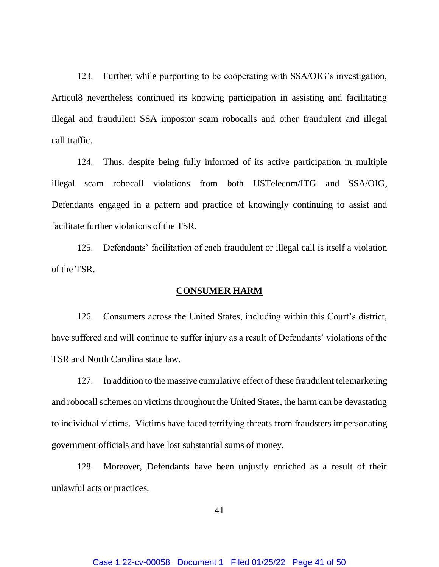123. Further, while purporting to be cooperating with SSA/OIG's investigation, Articul8 nevertheless continued its knowing participation in assisting and facilitating illegal and fraudulent SSA impostor scam robocalls and other fraudulent and illegal call traffic.

124. Thus, despite being fully informed of its active participation in multiple illegal scam robocall violations from both USTelecom/ITG and SSA/OIG, Defendants engaged in a pattern and practice of knowingly continuing to assist and facilitate further violations of the TSR.

125. Defendants' facilitation of each fraudulent or illegal call is itself a violation of the TSR.

#### **CONSUMER HARM**

126. Consumers across the United States, including within this Court's district, have suffered and will continue to suffer injury as a result of Defendants' violations of the TSR and North Carolina state law.

127. In addition to the massive cumulative effect of these fraudulent telemarketing and robocall schemes on victims throughout the United States, the harm can be devastating to individual victims. Victims have faced terrifying threats from fraudsters impersonating government officials and have lost substantial sums of money.

128. Moreover, Defendants have been unjustly enriched as a result of their unlawful acts or practices.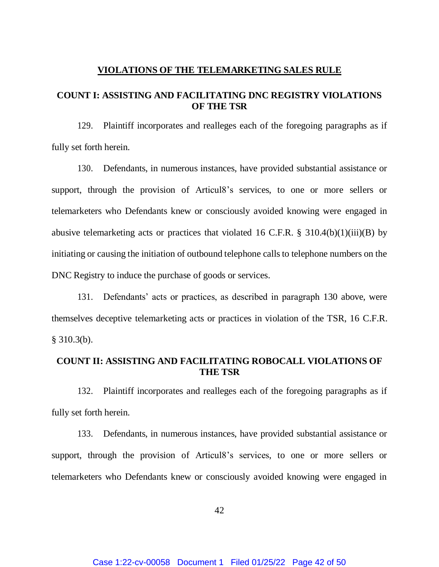#### **VIOLATIONS OF THE TELEMARKETING SALES RULE**

## **COUNT I: ASSISTING AND FACILITATING DNC REGISTRY VIOLATIONS OF THE TSR**

129. Plaintiff incorporates and realleges each of the foregoing paragraphs as if fully set forth herein.

130. Defendants, in numerous instances, have provided substantial assistance or support, through the provision of Articul8's services, to one or more sellers or telemarketers who Defendants knew or consciously avoided knowing were engaged in abusive telemarketing acts or practices that violated 16 C.F.R.  $\S$  310.4(b)(1)(iii)(B) by initiating or causing the initiation of outbound telephone calls to telephone numbers on the DNC Registry to induce the purchase of goods or services.

131. Defendants' acts or practices, as described in paragraph 130 above, were themselves deceptive telemarketing acts or practices in violation of the TSR, 16 C.F.R.  $§$  310.3(b).

# **COUNT II: ASSISTING AND FACILITATING ROBOCALL VIOLATIONS OF THE TSR**

132. Plaintiff incorporates and realleges each of the foregoing paragraphs as if fully set forth herein.

133. Defendants, in numerous instances, have provided substantial assistance or support, through the provision of Articul8's services, to one or more sellers or telemarketers who Defendants knew or consciously avoided knowing were engaged in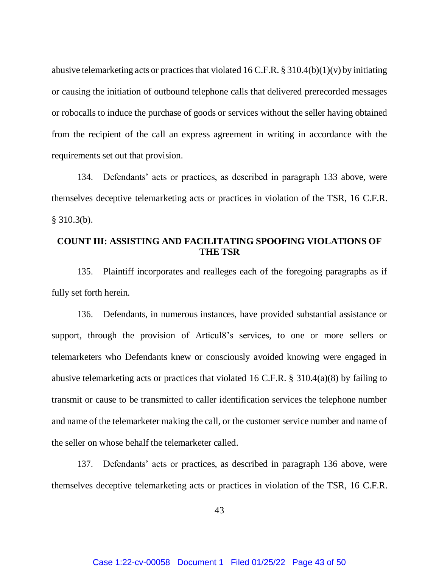abusive telemarketing acts or practices that violated 16 C.F.R. § 310.4(b)(1)(v) by initiating or causing the initiation of outbound telephone calls that delivered prerecorded messages or robocalls to induce the purchase of goods or services without the seller having obtained from the recipient of the call an express agreement in writing in accordance with the requirements set out that provision.

134. Defendants' acts or practices, as described in paragraph 133 above, were themselves deceptive telemarketing acts or practices in violation of the TSR, 16 C.F.R.  $§$  310.3(b).

## **COUNT III: ASSISTING AND FACILITATING SPOOFING VIOLATIONS OF THE TSR**

135. Plaintiff incorporates and realleges each of the foregoing paragraphs as if fully set forth herein.

136. Defendants, in numerous instances, have provided substantial assistance or support, through the provision of Articul8's services, to one or more sellers or telemarketers who Defendants knew or consciously avoided knowing were engaged in abusive telemarketing acts or practices that violated 16 C.F.R. § 310.4(a)(8) by failing to transmit or cause to be transmitted to caller identification services the telephone number and name of the telemarketer making the call, or the customer service number and name of the seller on whose behalf the telemarketer called.

137. Defendants' acts or practices, as described in paragraph 136 above, were themselves deceptive telemarketing acts or practices in violation of the TSR, 16 C.F.R.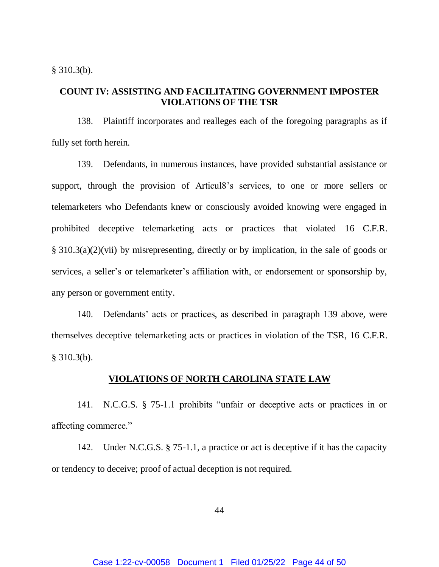$§$  310.3(b).

## **COUNT IV: ASSISTING AND FACILITATING GOVERNMENT IMPOSTER VIOLATIONS OF THE TSR**

138. Plaintiff incorporates and realleges each of the foregoing paragraphs as if fully set forth herein.

139. Defendants, in numerous instances, have provided substantial assistance or support, through the provision of Articul8's services, to one or more sellers or telemarketers who Defendants knew or consciously avoided knowing were engaged in prohibited deceptive telemarketing acts or practices that violated 16 C.F.R. § 310.3(a)(2)(vii) by misrepresenting, directly or by implication, in the sale of goods or services, a seller's or telemarketer's affiliation with, or endorsement or sponsorship by, any person or government entity.

140. Defendants' acts or practices, as described in paragraph 139 above, were themselves deceptive telemarketing acts or practices in violation of the TSR, 16 C.F.R. § 310.3(b).

## **VIOLATIONS OF NORTH CAROLINA STATE LAW**

141. N.C.G.S. § 75-1.1 prohibits "unfair or deceptive acts or practices in or affecting commerce."

142. Under N.C.G.S. § 75-1.1, a practice or act is deceptive if it has the capacity or tendency to deceive; proof of actual deception is not required.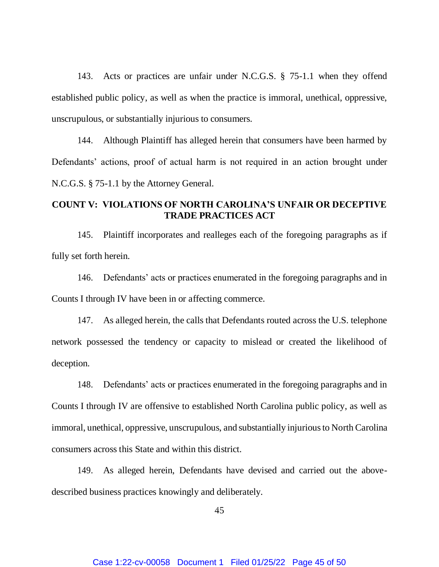143. Acts or practices are unfair under N.C.G.S. § 75-1.1 when they offend established public policy, as well as when the practice is immoral, unethical, oppressive, unscrupulous, or substantially injurious to consumers.

144. Although Plaintiff has alleged herein that consumers have been harmed by Defendants' actions, proof of actual harm is not required in an action brought under N.C.G.S. § 75-1.1 by the Attorney General.

## **COUNT V: VIOLATIONS OF NORTH CAROLINA'S UNFAIR OR DECEPTIVE TRADE PRACTICES ACT**

145. Plaintiff incorporates and realleges each of the foregoing paragraphs as if fully set forth herein.

146. Defendants' acts or practices enumerated in the foregoing paragraphs and in Counts I through IV have been in or affecting commerce.

147. As alleged herein, the calls that Defendants routed across the U.S. telephone network possessed the tendency or capacity to mislead or created the likelihood of deception.

148. Defendants' acts or practices enumerated in the foregoing paragraphs and in Counts I through IV are offensive to established North Carolina public policy, as well as immoral, unethical, oppressive, unscrupulous, and substantially injurious to North Carolina consumers across this State and within this district.

149. As alleged herein, Defendants have devised and carried out the abovedescribed business practices knowingly and deliberately.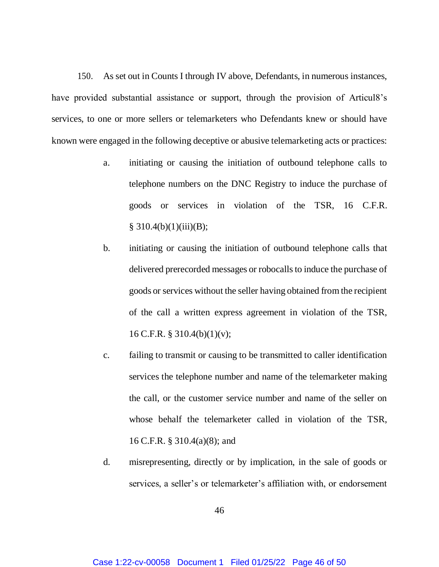150. As set out in Counts I through IV above, Defendants, in numerous instances, have provided substantial assistance or support, through the provision of Articul8's services, to one or more sellers or telemarketers who Defendants knew or should have known were engaged in the following deceptive or abusive telemarketing acts or practices:

- a. initiating or causing the initiation of outbound telephone calls to telephone numbers on the DNC Registry to induce the purchase of goods or services in violation of the TSR, 16 C.F.R.  $§ 310.4(b)(1)(iii)(B);$
- b. initiating or causing the initiation of outbound telephone calls that delivered prerecorded messages or robocalls to induce the purchase of goods or services without the seller having obtained from the recipient of the call a written express agreement in violation of the TSR, 16 C.F.R. § 310.4(b)(1)(v);
- c. failing to transmit or causing to be transmitted to caller identification services the telephone number and name of the telemarketer making the call, or the customer service number and name of the seller on whose behalf the telemarketer called in violation of the TSR, 16 C.F.R. § 310.4(a)(8); and
- d. misrepresenting, directly or by implication, in the sale of goods or services, a seller's or telemarketer's affiliation with, or endorsement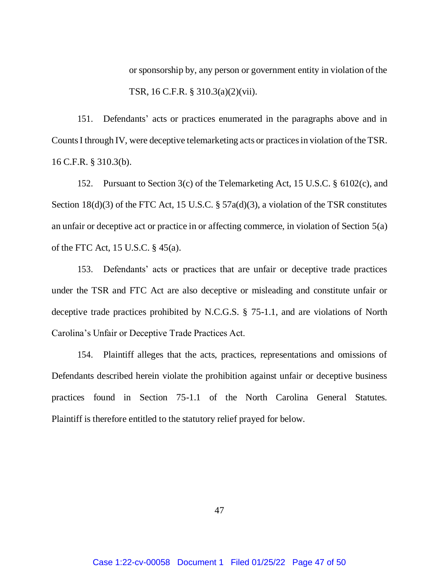or sponsorship by, any person or government entity in violation of the TSR, 16 C.F.R. § 310.3(a)(2)(vii).

151. Defendants' acts or practices enumerated in the paragraphs above and in CountsI through IV, were deceptive telemarketing acts or practices in violation of the TSR. 16 C.F.R. § 310.3(b).

152. Pursuant to Section 3(c) of the Telemarketing Act, 15 U.S.C. § 6102(c), and Section 18(d)(3) of the FTC Act, 15 U.S.C. § 57a(d)(3), a violation of the TSR constitutes an unfair or deceptive act or practice in or affecting commerce, in violation of Section 5(a) of the FTC Act, 15 U.S.C. § 45(a).

153. Defendants' acts or practices that are unfair or deceptive trade practices under the TSR and FTC Act are also deceptive or misleading and constitute unfair or deceptive trade practices prohibited by N.C.G.S. § 75-1.1, and are violations of North Carolina's Unfair or Deceptive Trade Practices Act.

154. Plaintiff alleges that the acts, practices, representations and omissions of Defendants described herein violate the prohibition against unfair or deceptive business practices found in Section 75-1.1 of the North Carolina General Statutes. Plaintiff is therefore entitled to the statutory relief prayed for below.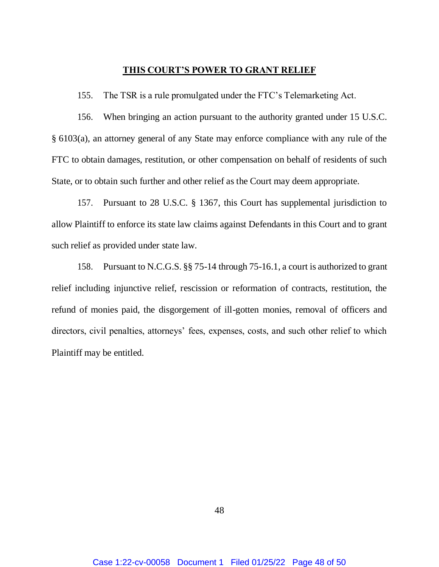#### **THIS COURT'S POWER TO GRANT RELIEF**

155. The TSR is a rule promulgated under the FTC's Telemarketing Act.

156. When bringing an action pursuant to the authority granted under 15 U.S.C. § 6103(a), an attorney general of any State may enforce compliance with any rule of the FTC to obtain damages, restitution, or other compensation on behalf of residents of such State, or to obtain such further and other relief as the Court may deem appropriate.

157. Pursuant to 28 U.S.C. § 1367, this Court has supplemental jurisdiction to allow Plaintiff to enforce its state law claims against Defendants in this Court and to grant such relief as provided under state law.

158. Pursuant to N.C.G.S. §§ 75-14 through 75-16.1, a court is authorized to grant relief including injunctive relief, rescission or reformation of contracts, restitution, the refund of monies paid, the disgorgement of ill-gotten monies, removal of officers and directors, civil penalties, attorneys' fees, expenses, costs, and such other relief to which Plaintiff may be entitled.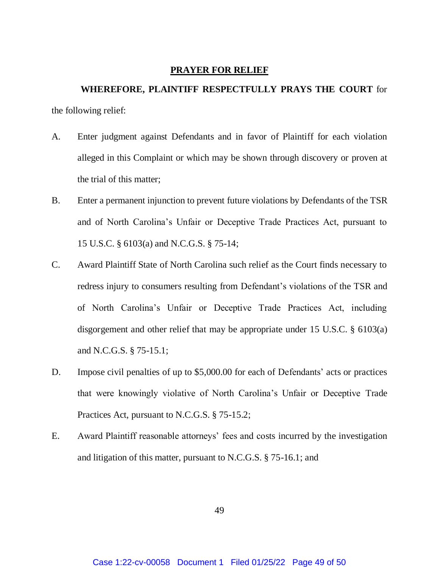#### **PRAYER FOR RELIEF**

# **WHEREFORE, PLAINTIFF RESPECTFULLY PRAYS THE COURT** for the following relief:

- A. Enter judgment against Defendants and in favor of Plaintiff for each violation alleged in this Complaint or which may be shown through discovery or proven at the trial of this matter;
- B. Enter a permanent injunction to prevent future violations by Defendants of the TSR and of North Carolina's Unfair or Deceptive Trade Practices Act, pursuant to 15 U.S.C. § 6103(a) and N.C.G.S. § 75-14;
- C. Award Plaintiff State of North Carolina such relief as the Court finds necessary to redress injury to consumers resulting from Defendant's violations of the TSR and of North Carolina's Unfair or Deceptive Trade Practices Act, including disgorgement and other relief that may be appropriate under 15 U.S.C. § 6103(a) and N.C.G.S. § 75-15.1;
- D. Impose civil penalties of up to \$5,000.00 for each of Defendants' acts or practices that were knowingly violative of North Carolina's Unfair or Deceptive Trade Practices Act, pursuant to N.C.G.S. § 75-15.2;
- E. Award Plaintiff reasonable attorneys' fees and costs incurred by the investigation and litigation of this matter, pursuant to N.C.G.S. § 75-16.1; and